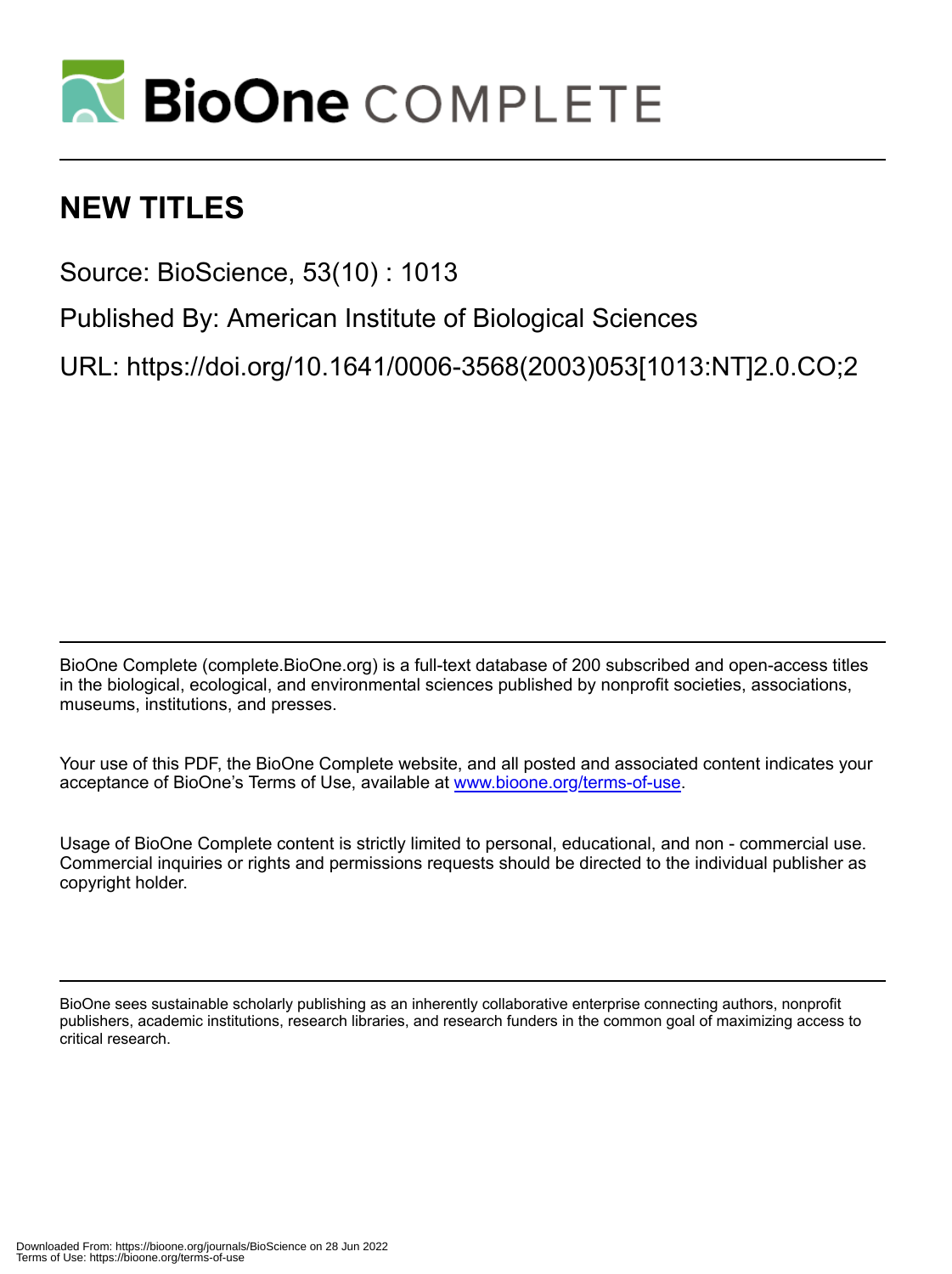

# **NEW TITLES**

Source: BioScience, 53(10) : 1013

Published By: American Institute of Biological Sciences

URL: https://doi.org/10.1641/0006-3568(2003)053[1013:NT]2.0.CO;2

BioOne Complete (complete.BioOne.org) is a full-text database of 200 subscribed and open-access titles in the biological, ecological, and environmental sciences published by nonprofit societies, associations, museums, institutions, and presses.

Your use of this PDF, the BioOne Complete website, and all posted and associated content indicates your acceptance of BioOne's Terms of Use, available at www.bioone.org/terms-of-use.

Usage of BioOne Complete content is strictly limited to personal, educational, and non - commercial use. Commercial inquiries or rights and permissions requests should be directed to the individual publisher as copyright holder.

BioOne sees sustainable scholarly publishing as an inherently collaborative enterprise connecting authors, nonprofit publishers, academic institutions, research libraries, and research funders in the common goal of maximizing access to critical research.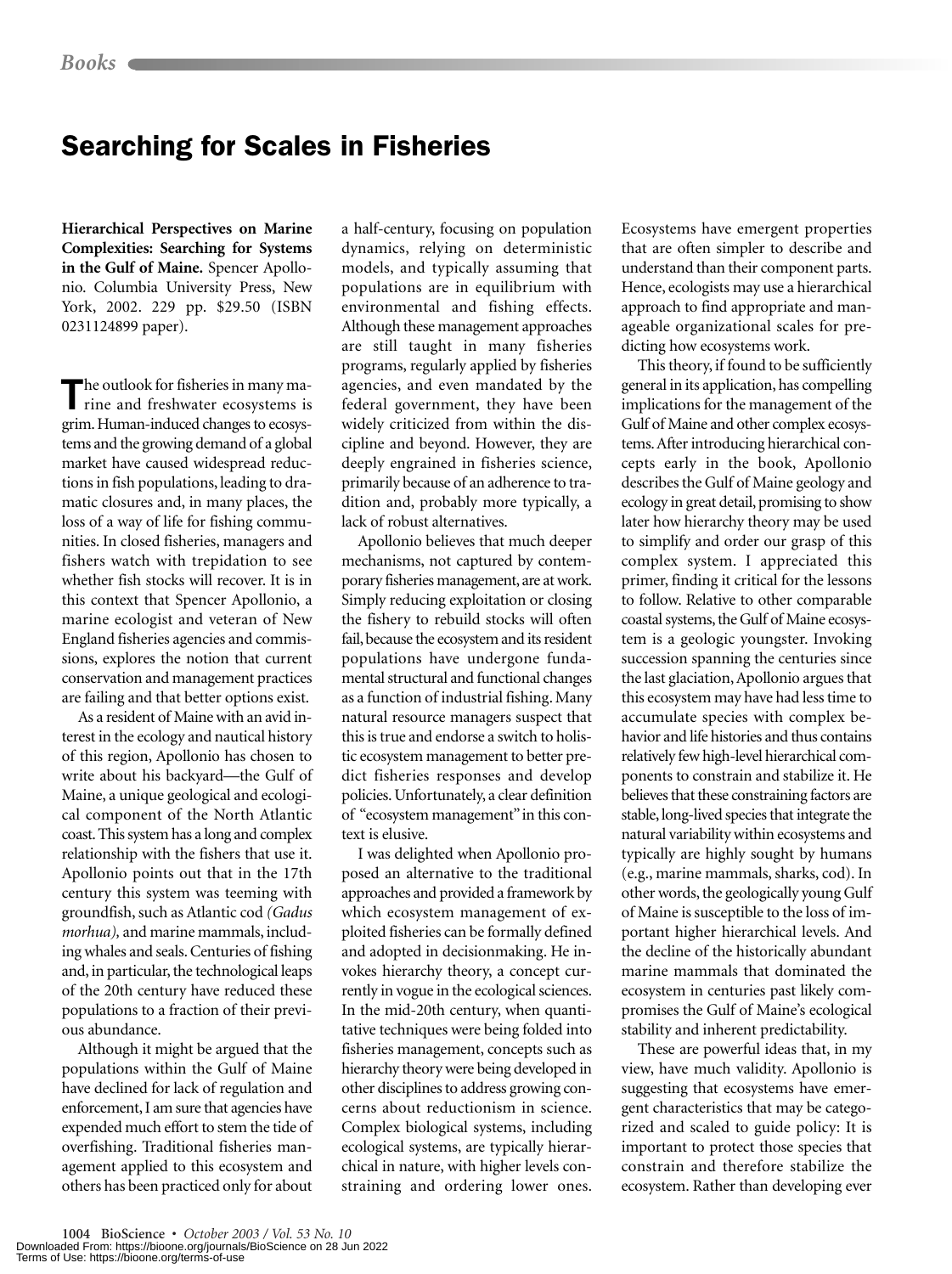# Searching for Scales in Fisheries

**Hierarchical Perspectives on Marine Complexities: Searching for Systems in the Gulf of Maine.** Spencer Apollonio. Columbia University Press, New York, 2002. 229 pp. \$29.50 (ISBN 0231124899 paper).

The outlook for fisheries in many ma-<br>rine and freshwater ecosystems is grim. Human-induced changes to ecosystems and the growing demand of a global market have caused widespread reductions in fish populations, leading to dramatic closures and, in many places, the loss of a way of life for fishing communities. In closed fisheries, managers and fishers watch with trepidation to see whether fish stocks will recover. It is in this context that Spencer Apollonio, a marine ecologist and veteran of New England fisheries agencies and commissions, explores the notion that current conservation and management practices are failing and that better options exist.

As a resident of Maine with an avid interest in the ecology and nautical history of this region, Apollonio has chosen to write about his backyard—the Gulf of Maine, a unique geological and ecological component of the North Atlantic coast. This system has a long and complex relationship with the fishers that use it. Apollonio points out that in the 17th century this system was teeming with groundfish, such as Atlantic cod *(Gadus morhua),* and marine mammals, including whales and seals. Centuries of fishing and, in particular, the technological leaps of the 20th century have reduced these populations to a fraction of their previous abundance.

Although it might be argued that the populations within the Gulf of Maine have declined for lack of regulation and enforcement, I am sure that agencies have expended much effort to stem the tide of overfishing. Traditional fisheries management applied to this ecosystem and others has been practiced only for about

a half-century, focusing on population dynamics, relying on deterministic models, and typically assuming that populations are in equilibrium with environmental and fishing effects. Although these management approaches are still taught in many fisheries programs, regularly applied by fisheries agencies, and even mandated by the federal government, they have been widely criticized from within the discipline and beyond. However, they are deeply engrained in fisheries science, primarily because of an adherence to tradition and, probably more typically, a lack of robust alternatives.

Apollonio believes that much deeper mechanisms, not captured by contemporary fisheries management, are at work. Simply reducing exploitation or closing the fishery to rebuild stocks will often fail, because the ecosystem and its resident populations have undergone fundamental structural and functional changes as a function of industrial fishing. Many natural resource managers suspect that this is true and endorse a switch to holistic ecosystem management to better predict fisheries responses and develop policies. Unfortunately, a clear definition of "ecosystem management"in this context is elusive.

I was delighted when Apollonio proposed an alternative to the traditional approaches and provided a framework by which ecosystem management of exploited fisheries can be formally defined and adopted in decisionmaking. He invokes hierarchy theory, a concept currently in vogue in the ecological sciences. In the mid-20th century, when quantitative techniques were being folded into fisheries management, concepts such as hierarchy theory were being developed in other disciplines to address growing concerns about reductionism in science. Complex biological systems, including ecological systems, are typically hierarchical in nature, with higher levels constraining and ordering lower ones.

Ecosystems have emergent properties that are often simpler to describe and understand than their component parts. Hence, ecologists may use a hierarchical approach to find appropriate and manageable organizational scales for predicting how ecosystems work.

This theory, if found to be sufficiently general in its application, has compelling implications for the management of the Gulf of Maine and other complex ecosystems. After introducing hierarchical concepts early in the book, Apollonio describes the Gulf of Maine geology and ecology in great detail, promising to show later how hierarchy theory may be used to simplify and order our grasp of this complex system. I appreciated this primer, finding it critical for the lessons to follow. Relative to other comparable coastal systems, the Gulf of Maine ecosystem is a geologic youngster. Invoking succession spanning the centuries since the last glaciation, Apollonio argues that this ecosystem may have had less time to accumulate species with complex behavior and life histories and thus contains relatively few high-level hierarchical components to constrain and stabilize it. He believes that these constraining factors are stable, long-lived species that integrate the natural variability within ecosystems and typically are highly sought by humans (e.g., marine mammals, sharks, cod). In other words, the geologically young Gulf of Maine is susceptible to the loss of important higher hierarchical levels. And the decline of the historically abundant marine mammals that dominated the ecosystem in centuries past likely compromises the Gulf of Maine's ecological stability and inherent predictability.

These are powerful ideas that, in my view, have much validity. Apollonio is suggesting that ecosystems have emergent characteristics that may be categorized and scaled to guide policy: It is important to protect those species that constrain and therefore stabilize the ecosystem. Rather than developing ever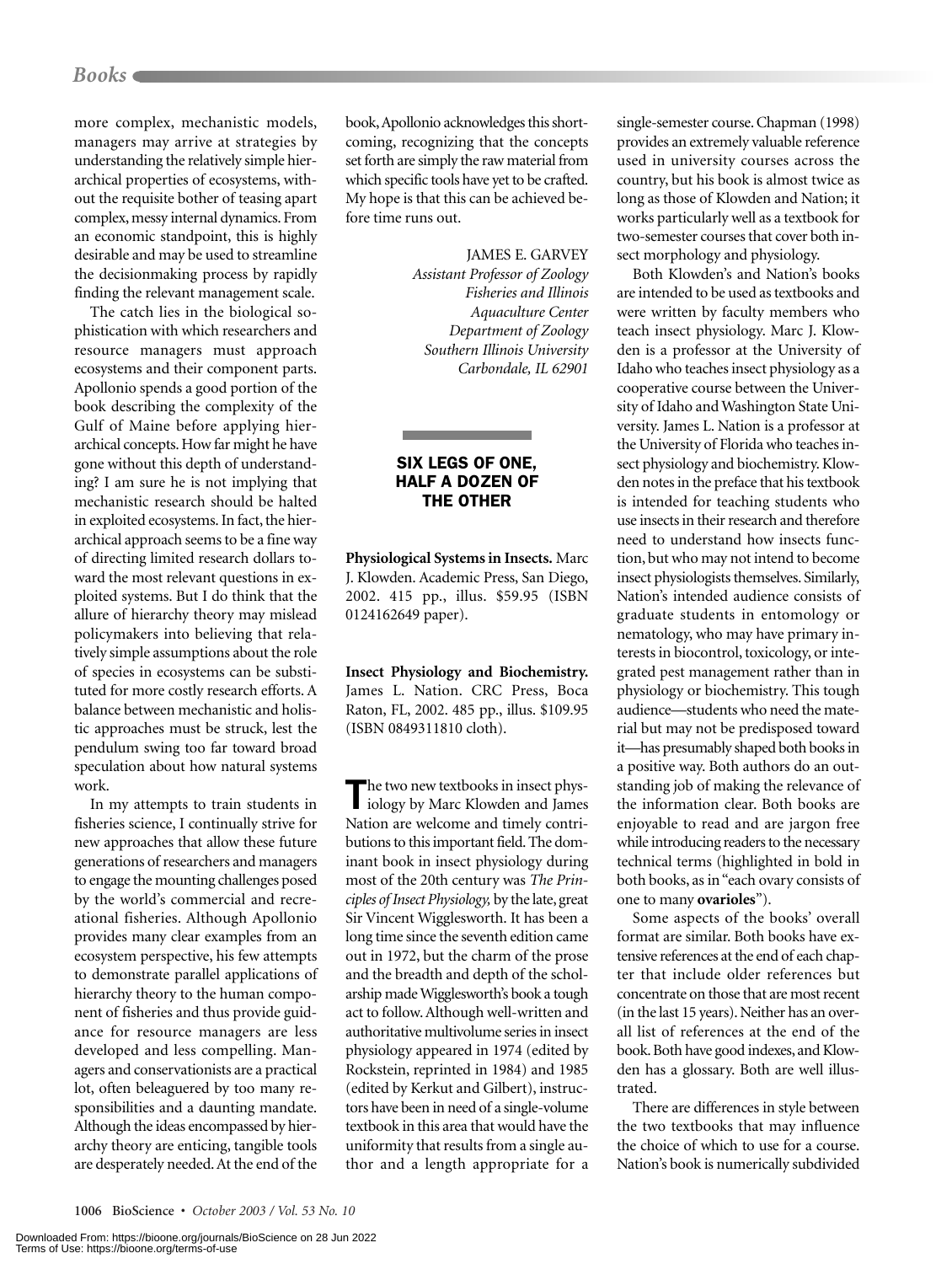# *Books*

more complex, mechanistic models, managers may arrive at strategies by understanding the relatively simple hierarchical properties of ecosystems, without the requisite bother of teasing apart complex, messy internal dynamics. From an economic standpoint, this is highly desirable and may be used to streamline the decisionmaking process by rapidly finding the relevant management scale.

The catch lies in the biological sophistication with which researchers and resource managers must approach ecosystems and their component parts. Apollonio spends a good portion of the book describing the complexity of the Gulf of Maine before applying hierarchical concepts. How far might he have gone without this depth of understanding? I am sure he is not implying that mechanistic research should be halted in exploited ecosystems. In fact, the hierarchical approach seems to be a fine way of directing limited research dollars toward the most relevant questions in exploited systems. But I do think that the allure of hierarchy theory may mislead policymakers into believing that relatively simple assumptions about the role of species in ecosystems can be substituted for more costly research efforts. A balance between mechanistic and holistic approaches must be struck, lest the pendulum swing too far toward broad speculation about how natural systems work.

In my attempts to train students in fisheries science, I continually strive for new approaches that allow these future generations of researchers and managers to engage the mounting challenges posed by the world's commercial and recreational fisheries. Although Apollonio provides many clear examples from an ecosystem perspective, his few attempts to demonstrate parallel applications of hierarchy theory to the human component of fisheries and thus provide guidance for resource managers are less developed and less compelling. Managers and conservationists are a practical lot, often beleaguered by too many responsibilities and a daunting mandate. Although the ideas encompassed by hierarchy theory are enticing, tangible tools are desperately needed. At the end of the book,Apollonio acknowledges this shortcoming, recognizing that the concepts set forth are simply the raw material from which specific tools have yet to be crafted. My hope is that this can be achieved before time runs out.

> JAMES E. GARVEY *Assistant Professor of Zoology Fisheries and Illinois Aquaculture Center Department of Zoology Southern Illinois University Carbondale, IL 62901*

## SIX LEGS OF ONE, HALF A DOZEN OF THE OTHER

**Physiological Systems in Insects.** Marc J. Klowden. Academic Press, San Diego, 2002. 415 pp., illus. \$59.95 (ISBN 0124162649 paper).

**Insect Physiology and Biochemistry.** James L. Nation. CRC Press, Boca Raton, FL, 2002. 485 pp., illus. \$109.95 (ISBN 0849311810 cloth).

The two new textbooks in insect phys-iology by Marc Klowden and James Nation are welcome and timely contributions to this important field. The dominant book in insect physiology during most of the 20th century was *The Principles of Insect Physiology,* by the late, great Sir Vincent Wigglesworth. It has been a long time since the seventh edition came out in 1972, but the charm of the prose and the breadth and depth of the scholarship made Wigglesworth's book a tough act to follow. Although well-written and authoritative multivolume series in insect physiology appeared in 1974 (edited by Rockstein, reprinted in 1984) and 1985 (edited by Kerkut and Gilbert), instructors have been in need of a single-volume textbook in this area that would have the uniformity that results from a single author and a length appropriate for a single-semester course. Chapman (1998) provides an extremely valuable reference used in university courses across the country, but his book is almost twice as long as those of Klowden and Nation; it works particularly well as a textbook for two-semester courses that cover both insect morphology and physiology.

Both Klowden's and Nation's books are intended to be used as textbooks and were written by faculty members who teach insect physiology. Marc J. Klowden is a professor at the University of Idaho who teaches insect physiology as a cooperative course between the University of Idaho and Washington State University. James L. Nation is a professor at the University of Florida who teaches insect physiology and biochemistry. Klowden notes in the preface that his textbook is intended for teaching students who use insects in their research and therefore need to understand how insects function, but who may not intend to become insect physiologists themselves. Similarly, Nation's intended audience consists of graduate students in entomology or nematology, who may have primary interests in biocontrol, toxicology, or integrated pest management rather than in physiology or biochemistry. This tough audience—students who need the material but may not be predisposed toward it—has presumably shaped both books in a positive way. Both authors do an outstanding job of making the relevance of the information clear. Both books are enjoyable to read and are jargon free while introducing readers to the necessary technical terms (highlighted in bold in both books, as in "each ovary consists of one to many **ovarioles**").

Some aspects of the books' overall format are similar. Both books have extensive references at the end of each chapter that include older references but concentrate on those that are most recent (in the last 15 years). Neither has an overall list of references at the end of the book. Both have good indexes, and Klowden has a glossary. Both are well illustrated.

There are differences in style between the two textbooks that may influence the choice of which to use for a course. Nation's book is numerically subdivided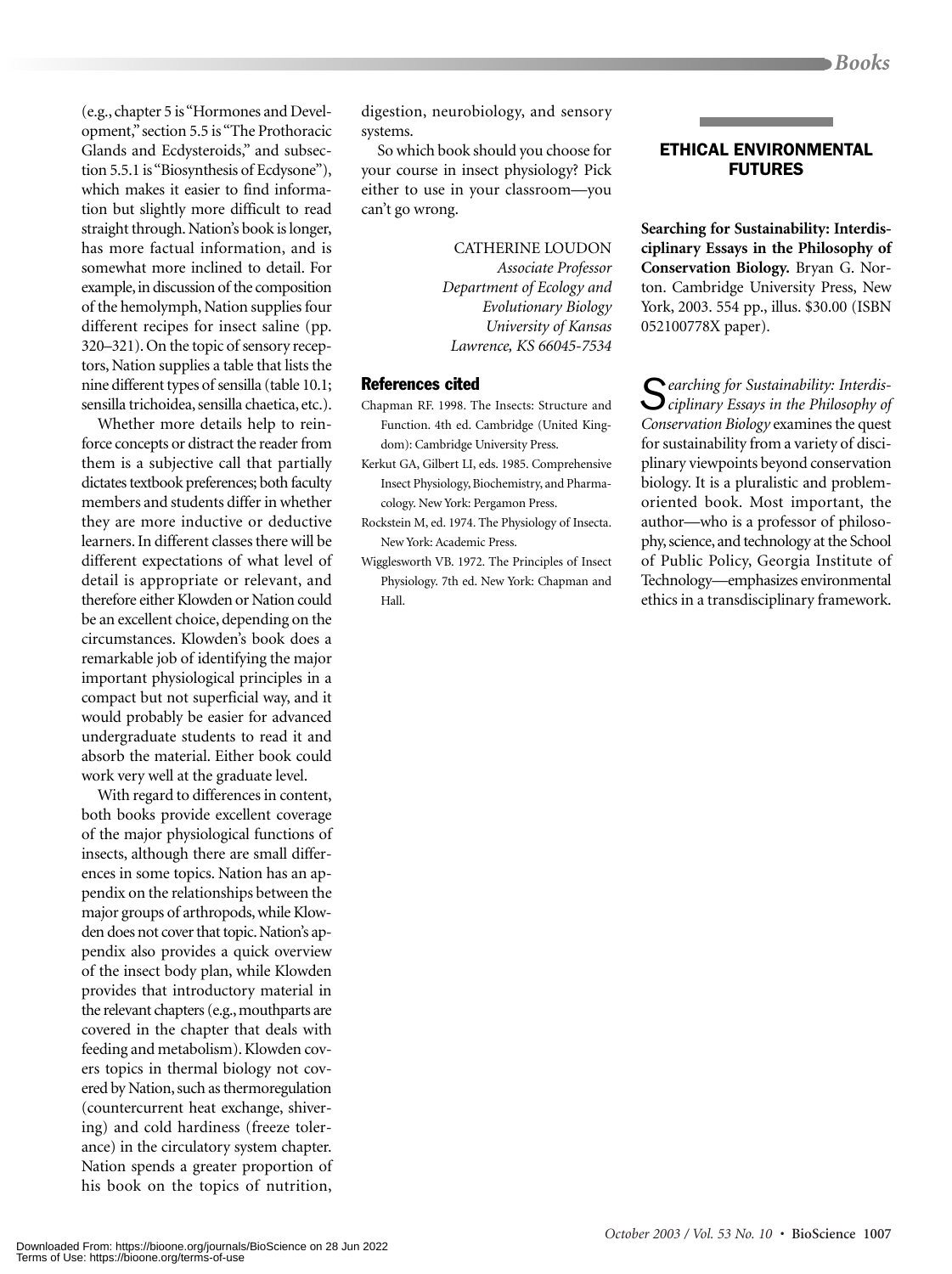(e.g., chapter 5 is "Hormones and Development," section 5.5 is "The Prothoracic Glands and Ecdysteroids," and subsection 5.5.1 is "Biosynthesis of Ecdysone"), which makes it easier to find information but slightly more difficult to read straight through. Nation's book is longer, has more factual information, and is somewhat more inclined to detail. For example, in discussion of the composition of the hemolymph, Nation supplies four different recipes for insect saline (pp. 320–321). On the topic of sensory receptors, Nation supplies a table that lists the nine different types of sensilla (table 10.1; sensilla trichoidea, sensilla chaetica, etc.).

Whether more details help to reinforce concepts or distract the reader from them is a subjective call that partially dictates textbook preferences; both faculty members and students differ in whether they are more inductive or deductive learners. In different classes there will be different expectations of what level of detail is appropriate or relevant, and therefore either Klowden or Nation could be an excellent choice, depending on the circumstances. Klowden's book does a remarkable job of identifying the major important physiological principles in a compact but not superficial way, and it would probably be easier for advanced undergraduate students to read it and absorb the material. Either book could work very well at the graduate level.

With regard to differences in content, both books provide excellent coverage of the major physiological functions of insects, although there are small differences in some topics. Nation has an appendix on the relationships between the major groups of arthropods, while Klowden does not cover that topic. Nation's appendix also provides a quick overview of the insect body plan, while Klowden provides that introductory material in the relevant chapters (e.g., mouthparts are covered in the chapter that deals with feeding and metabolism). Klowden covers topics in thermal biology not covered by Nation, such as thermoregulation (countercurrent heat exchange, shivering) and cold hardiness (freeze tolerance) in the circulatory system chapter. Nation spends a greater proportion of his book on the topics of nutrition,

digestion, neurobiology, and sensory systems.

So which book should you choose for your course in insect physiology? Pick either to use in your classroom—you can't go wrong.

> CATHERINE LOUDON *Associate Professor Department of Ecology and Evolutionary Biology University of Kansas Lawrence, KS 66045-7534*

# References cited

- Chapman RF. 1998. The Insects: Structure and Function. 4th ed. Cambridge (United Kingdom): Cambridge University Press.
- Kerkut GA, Gilbert LI, eds. 1985. Comprehensive Insect Physiology, Biochemistry, and Pharmacology. New York: Pergamon Press.
- Rockstein M, ed. 1974. The Physiology of Insecta. New York: Academic Press.
- Wigglesworth VB. 1972. The Principles of Insect Physiology. 7th ed. New York: Chapman and Hall.

# ETHICAL ENVIRONMENTAL FUTURES

**Searching for Sustainability: Interdisciplinary Essays in the Philosophy of Conservation Biology.** Bryan G. Norton. Cambridge University Press, New York, 2003. 554 pp., illus. \$30.00 (ISBN 052100778X paper).

*Searching for Sustainability: Interdisciplinary Essays in the Philosophy of Conservation Biology* examines the quest for sustainability from a variety of disciplinary viewpoints beyond conservation biology. It is a pluralistic and problemoriented book. Most important, the author—who is a professor of philosophy, science, and technology at the School of Public Policy, Georgia Institute of Technology—emphasizes environmental ethics in a transdisciplinary framework.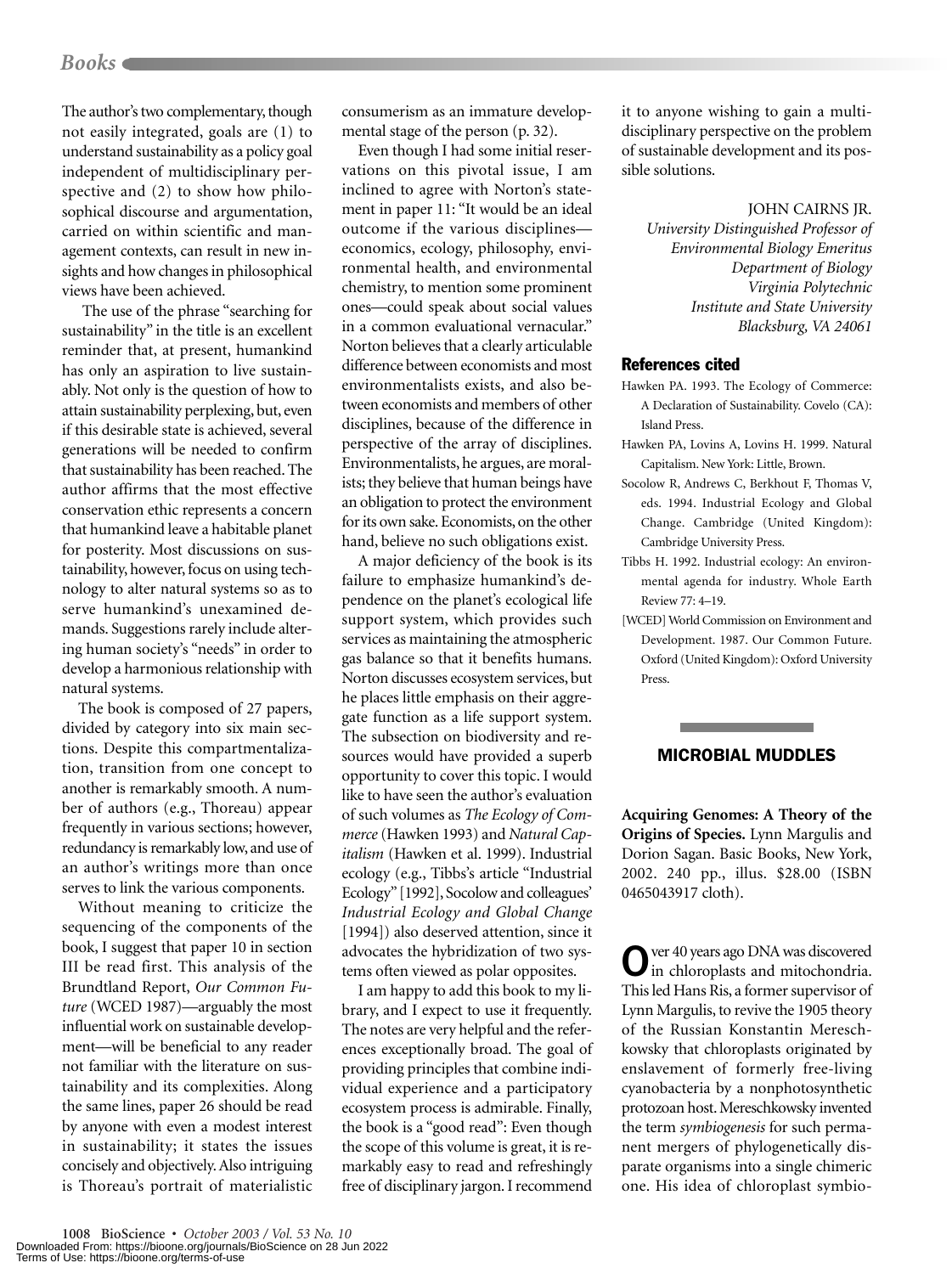# *Books*

The author's two complementary, though not easily integrated, goals are (1) to understand sustainability as a policy goal independent of multidisciplinary perspective and (2) to show how philosophical discourse and argumentation, carried on within scientific and management contexts, can result in new insights and how changes in philosophical views have been achieved.

The use of the phrase "searching for sustainability" in the title is an excellent reminder that, at present, humankind has only an aspiration to live sustainably. Not only is the question of how to attain sustainability perplexing, but, even if this desirable state is achieved, several generations will be needed to confirm that sustainability has been reached. The author affirms that the most effective conservation ethic represents a concern that humankind leave a habitable planet for posterity. Most discussions on sustainability, however, focus on using technology to alter natural systems so as to serve humankind's unexamined demands. Suggestions rarely include altering human society's "needs" in order to develop a harmonious relationship with natural systems.

The book is composed of 27 papers, divided by category into six main sections. Despite this compartmentalization, transition from one concept to another is remarkably smooth. A number of authors (e.g., Thoreau) appear frequently in various sections; however, redundancy is remarkably low, and use of an author's writings more than once serves to link the various components.

Without meaning to criticize the sequencing of the components of the book, I suggest that paper 10 in section III be read first. This analysis of the Brundtland Report, *Our Common Future* (WCED 1987)—arguably the most influential work on sustainable development—will be beneficial to any reader not familiar with the literature on sustainability and its complexities. Along the same lines, paper 26 should be read by anyone with even a modest interest in sustainability; it states the issues concisely and objectively. Also intriguing is Thoreau's portrait of materialistic consumerism as an immature developmental stage of the person (p. 32).

Even though I had some initial reservations on this pivotal issue, I am inclined to agree with Norton's statement in paper 11: "It would be an ideal outcome if the various disciplines economics, ecology, philosophy, environmental health, and environmental chemistry, to mention some prominent ones—could speak about social values in a common evaluational vernacular." Norton believes that a clearly articulable difference between economists and most environmentalists exists, and also between economists and members of other disciplines, because of the difference in perspective of the array of disciplines. Environmentalists, he argues, are moralists; they believe that human beings have an obligation to protect the environment for its own sake. Economists, on the other hand, believe no such obligations exist.

A major deficiency of the book is its failure to emphasize humankind's dependence on the planet's ecological life support system, which provides such services as maintaining the atmospheric gas balance so that it benefits humans. Norton discusses ecosystem services, but he places little emphasis on their aggregate function as a life support system. The subsection on biodiversity and resources would have provided a superb opportunity to cover this topic. I would like to have seen the author's evaluation of such volumes as *The Ecology of Commerce*(Hawken 1993) and *Natural Capitalism* (Hawken et al. 1999). Industrial ecology (e.g., Tibbs's article "Industrial Ecology"[1992], Socolow and colleagues' *Industrial Ecology and Global Change* [1994]) also deserved attention, since it advocates the hybridization of two systems often viewed as polar opposites.

I am happy to add this book to my library, and I expect to use it frequently. The notes are very helpful and the references exceptionally broad. The goal of providing principles that combine individual experience and a participatory ecosystem process is admirable. Finally, the book is a "good read": Even though the scope of this volume is great, it is remarkably easy to read and refreshingly free of disciplinary jargon. I recommend

it to anyone wishing to gain a multidisciplinary perspective on the problem of sustainable development and its possible solutions.

> JOHN CAIRNS JR. *University Distinguished Professor of Environmental Biology Emeritus Department of Biology Virginia Polytechnic Institute and State University Blacksburg, VA 24061*

### References cited

- Hawken PA. 1993. The Ecology of Commerce: A Declaration of Sustainability. Covelo (CA): Island Press.
- Hawken PA, Lovins A, Lovins H. 1999. Natural Capitalism. New York: Little, Brown.
- Socolow R, Andrews C, Berkhout F, Thomas V, eds. 1994. Industrial Ecology and Global Change. Cambridge (United Kingdom): Cambridge University Press.
- Tibbs H. 1992. Industrial ecology: An environmental agenda for industry. Whole Earth Review 77: 4–19.
- [WCED] World Commission on Environment and Development. 1987. Our Common Future. Oxford (United Kingdom): Oxford University Press.

#### MICROBIAL MUDDLES

**Acquiring Genomes: A Theory of the Origins of Species.** Lynn Margulis and Dorion Sagan. Basic Books, New York, 2002. 240 pp., illus. \$28.00 (ISBN 0465043917 cloth).

Over 40 years ago DNA was discovered in chloroplasts and mitochondria. This led Hans Ris, a former supervisor of Lynn Margulis, to revive the 1905 theory of the Russian Konstantin Mereschkowsky that chloroplasts originated by enslavement of formerly free-living cyanobacteria by a nonphotosynthetic protozoan host. Mereschkowsky invented the term *symbiogenesis* for such permanent mergers of phylogenetically disparate organisms into a single chimeric one. His idea of chloroplast symbio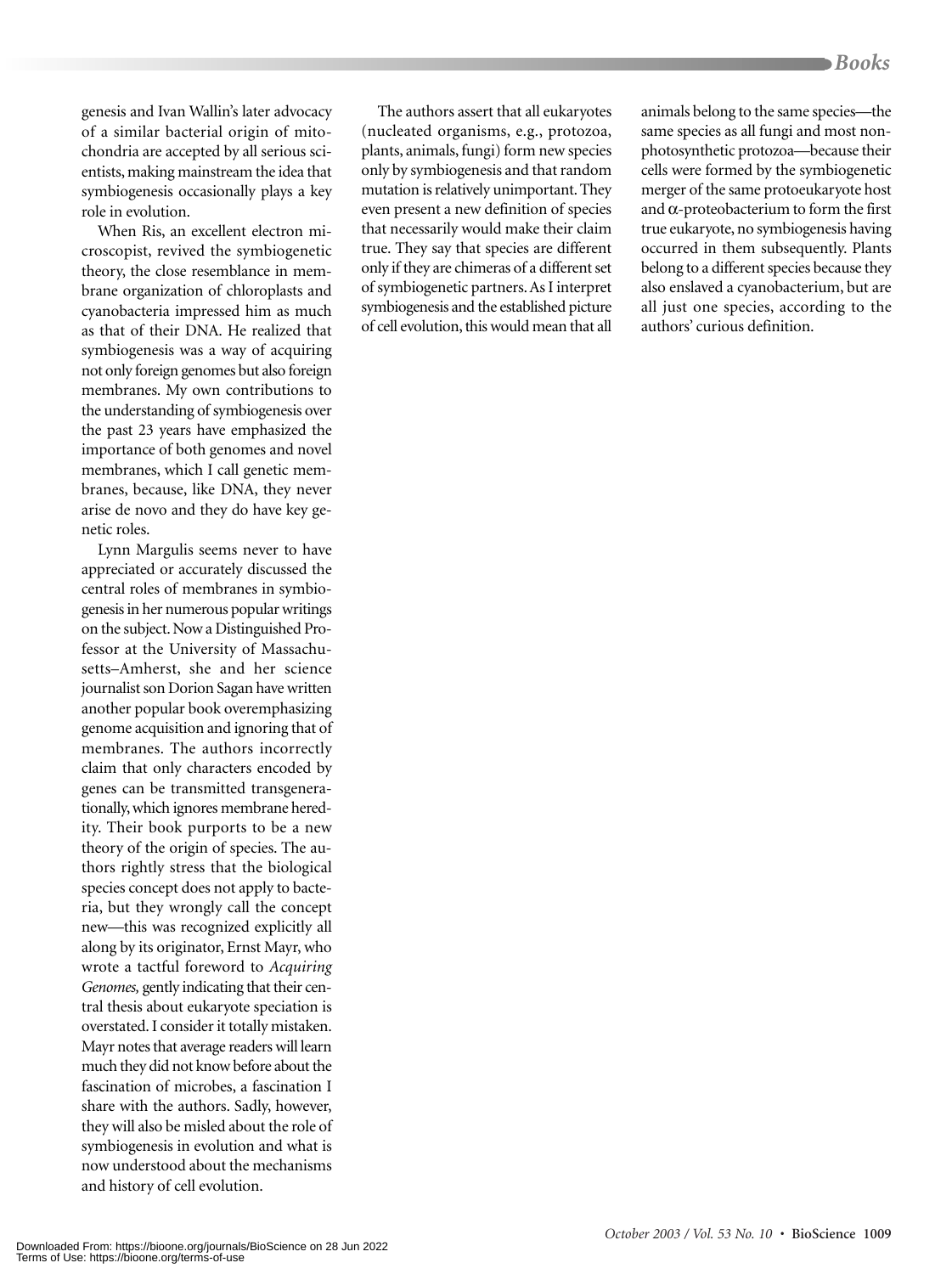genesis and Ivan Wallin's later advocacy of a similar bacterial origin of mitochondria are accepted by all serious scientists, making mainstream the idea that symbiogenesis occasionally plays a key role in evolution.

When Ris, an excellent electron microscopist, revived the symbiogenetic theory, the close resemblance in membrane organization of chloroplasts and cyanobacteria impressed him as much as that of their DNA. He realized that symbiogenesis was a way of acquiring not only foreign genomes but also foreign membranes. My own contributions to the understanding of symbiogenesis over the past 23 years have emphasized the importance of both genomes and novel membranes, which I call genetic membranes, because, like DNA, they never arise de novo and they do have key genetic roles.

Lynn Margulis seems never to have appreciated or accurately discussed the central roles of membranes in symbiogenesis in her numerous popular writings on the subject. Now a Distinguished Professor at the University of Massachusetts–Amherst, she and her science journalist son Dorion Sagan have written another popular book overemphasizing genome acquisition and ignoring that of membranes. The authors incorrectly claim that only characters encoded by genes can be transmitted transgenerationally, which ignores membrane heredity. Their book purports to be a new theory of the origin of species. The authors rightly stress that the biological species concept does not apply to bacteria, but they wrongly call the concept new—this was recognized explicitly all along by its originator, Ernst Mayr, who wrote a tactful foreword to *Acquiring Genomes,* gently indicating that their central thesis about eukaryote speciation is overstated. I consider it totally mistaken. Mayr notes that average readers will learn much they did not know before about the fascination of microbes, a fascination I share with the authors. Sadly, however, they will also be misled about the role of symbiogenesis in evolution and what is now understood about the mechanisms and history of cell evolution.

The authors assert that all eukaryotes (nucleated organisms, e.g., protozoa, plants, animals, fungi) form new species only by symbiogenesis and that random mutation is relatively unimportant. They even present a new definition of species that necessarily would make their claim true. They say that species are different only if they are chimeras of a different set of symbiogenetic partners. As I interpret symbiogenesis and the established picture of cell evolution, this would mean that all

animals belong to the same species—the same species as all fungi and most nonphotosynthetic protozoa—because their cells were formed by the symbiogenetic merger of the same protoeukaryote host and  $\alpha$ -proteobacterium to form the first true eukaryote, no symbiogenesis having occurred in them subsequently. Plants belong to a different species because they also enslaved a cyanobacterium, but are all just one species, according to the authors' curious definition.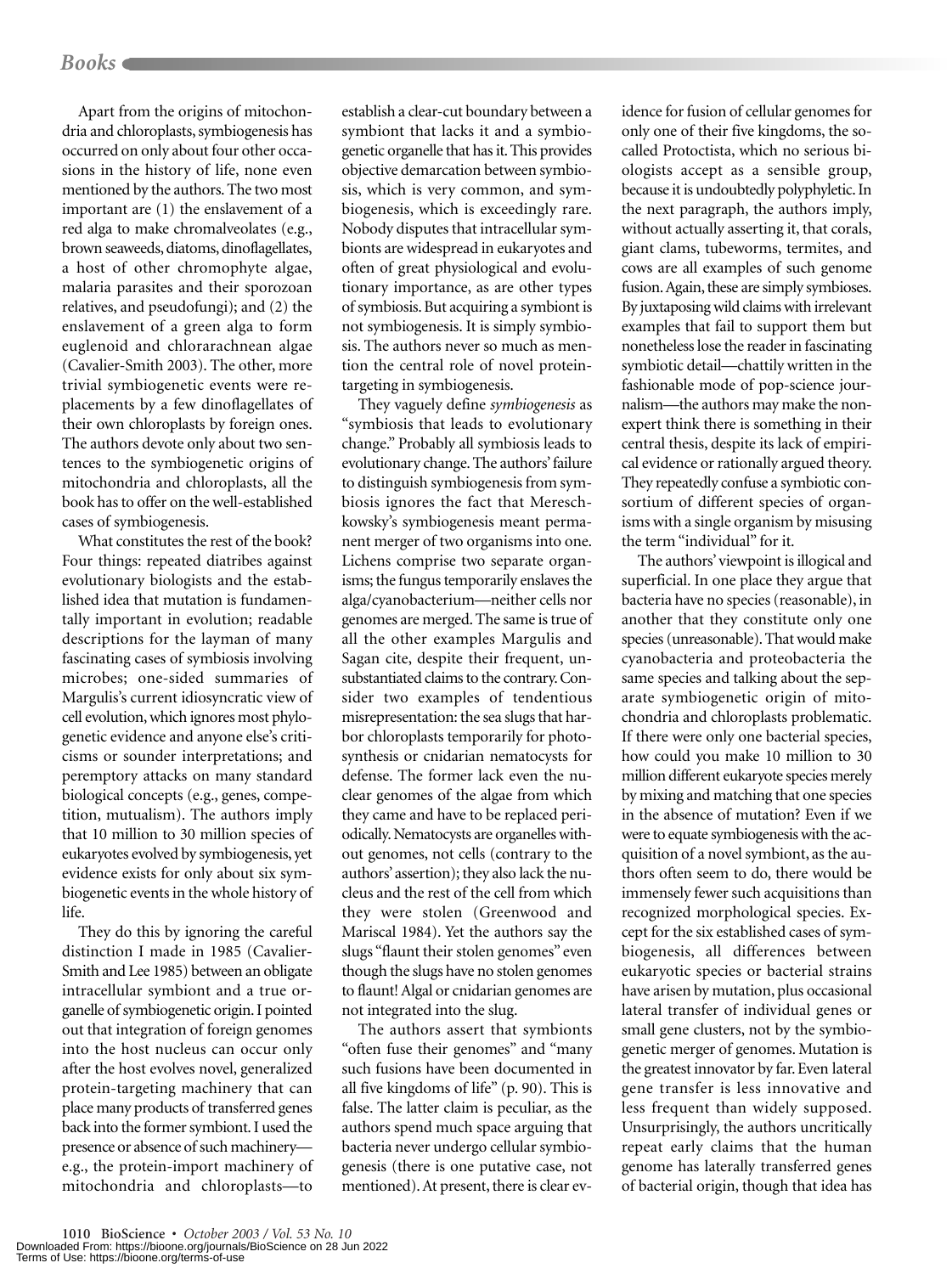Apart from the origins of mitochondria and chloroplasts, symbiogenesis has occurred on only about four other occasions in the history of life, none even mentioned by the authors. The two most important are (1) the enslavement of a red alga to make chromalveolates (e.g., brown seaweeds, diatoms, dinoflagellates, a host of other chromophyte algae, malaria parasites and their sporozoan relatives, and pseudofungi); and (2) the enslavement of a green alga to form euglenoid and chlorarachnean algae (Cavalier-Smith 2003). The other, more trivial symbiogenetic events were replacements by a few dinoflagellates of their own chloroplasts by foreign ones. The authors devote only about two sentences to the symbiogenetic origins of mitochondria and chloroplasts, all the book has to offer on the well-established cases of symbiogenesis.

What constitutes the rest of the book? Four things: repeated diatribes against evolutionary biologists and the established idea that mutation is fundamentally important in evolution; readable descriptions for the layman of many fascinating cases of symbiosis involving microbes; one-sided summaries of Margulis's current idiosyncratic view of cell evolution, which ignores most phylogenetic evidence and anyone else's criticisms or sounder interpretations; and peremptory attacks on many standard biological concepts (e.g., genes, competition, mutualism). The authors imply that 10 million to 30 million species of eukaryotes evolved by symbiogenesis, yet evidence exists for only about six symbiogenetic events in the whole history of life.

They do this by ignoring the careful distinction I made in 1985 (Cavalier-Smith and Lee 1985) between an obligate intracellular symbiont and a true organelle of symbiogenetic origin. I pointed out that integration of foreign genomes into the host nucleus can occur only after the host evolves novel, generalized protein-targeting machinery that can place many products of transferred genes back into the former symbiont. I used the presence or absence of such machinery e.g., the protein-import machinery of mitochondria and chloroplasts—to

establish a clear-cut boundary between a symbiont that lacks it and a symbiogenetic organelle that has it. This provides objective demarcation between symbiosis, which is very common, and symbiogenesis, which is exceedingly rare. Nobody disputes that intracellular symbionts are widespread in eukaryotes and often of great physiological and evolutionary importance, as are other types of symbiosis. But acquiring a symbiont is not symbiogenesis. It is simply symbiosis. The authors never so much as mention the central role of novel proteintargeting in symbiogenesis.

They vaguely define *symbiogenesis* as "symbiosis that leads to evolutionary change." Probably all symbiosis leads to evolutionary change. The authors' failure to distinguish symbiogenesis from symbiosis ignores the fact that Mereschkowsky's symbiogenesis meant permanent merger of two organisms into one. Lichens comprise two separate organisms; the fungus temporarily enslaves the alga/cyanobacterium—neither cells nor genomes are merged. The same is true of all the other examples Margulis and Sagan cite, despite their frequent, unsubstantiated claims to the contrary. Consider two examples of tendentious misrepresentation: the sea slugs that harbor chloroplasts temporarily for photosynthesis or cnidarian nematocysts for defense. The former lack even the nuclear genomes of the algae from which they came and have to be replaced periodically. Nematocysts are organelles without genomes, not cells (contrary to the authors' assertion); they also lack the nucleus and the rest of the cell from which they were stolen (Greenwood and Mariscal 1984). Yet the authors say the slugs "flaunt their stolen genomes" even though the slugs have no stolen genomes to flaunt! Algal or cnidarian genomes are not integrated into the slug.

The authors assert that symbionts "often fuse their genomes" and "many such fusions have been documented in all five kingdoms of life" (p. 90). This is false. The latter claim is peculiar, as the authors spend much space arguing that bacteria never undergo cellular symbiogenesis (there is one putative case, not mentioned). At present, there is clear evidence for fusion of cellular genomes for only one of their five kingdoms, the socalled Protoctista, which no serious biologists accept as a sensible group, because it is undoubtedly polyphyletic. In the next paragraph, the authors imply, without actually asserting it, that corals, giant clams, tubeworms, termites, and cows are all examples of such genome fusion.Again, these are simply symbioses. By juxtaposing wild claims with irrelevant examples that fail to support them but nonetheless lose the reader in fascinating symbiotic detail—chattily written in the fashionable mode of pop-science journalism—the authors may make the nonexpert think there is something in their central thesis, despite its lack of empirical evidence or rationally argued theory. They repeatedly confuse a symbiotic consortium of different species of organisms with a single organism by misusing the term "individual" for it.

The authors' viewpoint is illogical and superficial. In one place they argue that bacteria have no species (reasonable), in another that they constitute only one species (unreasonable). That would make cyanobacteria and proteobacteria the same species and talking about the separate symbiogenetic origin of mitochondria and chloroplasts problematic. If there were only one bacterial species, how could you make 10 million to 30 million different eukaryote species merely by mixing and matching that one species in the absence of mutation? Even if we were to equate symbiogenesis with the acquisition of a novel symbiont, as the authors often seem to do, there would be immensely fewer such acquisitions than recognized morphological species. Except for the six established cases of symbiogenesis, all differences between eukaryotic species or bacterial strains have arisen by mutation, plus occasional lateral transfer of individual genes or small gene clusters, not by the symbiogenetic merger of genomes. Mutation is the greatest innovator by far. Even lateral gene transfer is less innovative and less frequent than widely supposed. Unsurprisingly, the authors uncritically repeat early claims that the human genome has laterally transferred genes of bacterial origin, though that idea has